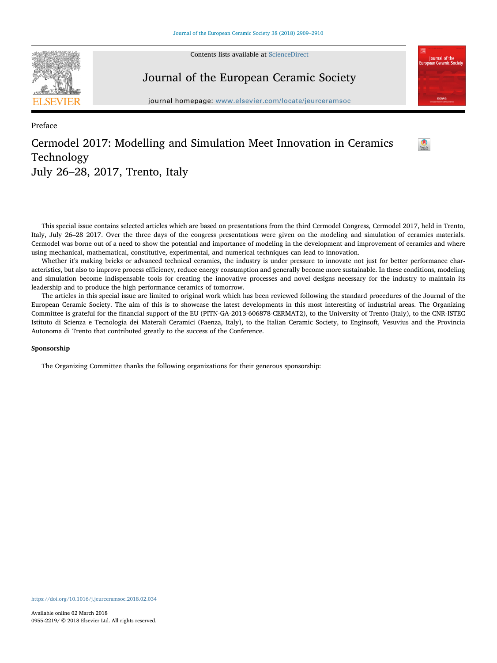

Preface

Contents lists available at [ScienceDirect](http://www.sciencedirect.com/science/journal/09552219)

## Journal of the European Ceramic Society

journal homepage: [www.elsevier.com/locate/jeurceramsoc](https://www.elsevier.com/locate/jeurceramsoc)

 $\bullet$ 

**Journal of the**<br>ean Ceramic Se

## Cermodel 2017: Modelling and Simulation Meet Innovation in Ceramics Technology July 26–28, 2017, Trento, Italy

This special issue contains selected articles which are based on presentations from the third Cermodel Congress, Cermodel 2017, held in Trento, Italy, July 26–28 2017. Over the three days of the congress presentations were given on the modeling and simulation of ceramics materials. Cermodel was borne out of a need to show the potential and importance of modeling in the development and improvement of ceramics and where using mechanical, mathematical, constitutive, experimental, and numerical techniques can lead to innovation.

Whether it's making bricks or advanced technical ceramics, the industry is under pressure to innovate not just for better performance characteristics, but also to improve process efficiency, reduce energy consumption and generally become more sustainable. In these conditions, modeling and simulation become indispensable tools for creating the innovative processes and novel designs necessary for the industry to maintain its leadership and to produce the high performance ceramics of tomorrow.

The articles in this special issue are limited to original work which has been reviewed following the standard procedures of the Journal of the European Ceramic Society. The aim of this is to showcase the latest developments in this most interesting of industrial areas. The Organizing Committee is grateful for the financial support of the EU (PITN-GA-2013-606878-CERMAT2), to the University of Trento (Italy), to the CNR-ISTEC Istituto di Scienza e Tecnologia dei Materali Ceramici (Faenza, Italy), to the Italian Ceramic Society, to Enginsoft, Vesuvius and the Provincia Autonoma di Trento that contributed greatly to the success of the Conference.

## Sponsorship

The Organizing Committee thanks the following organizations for their generous sponsorship: